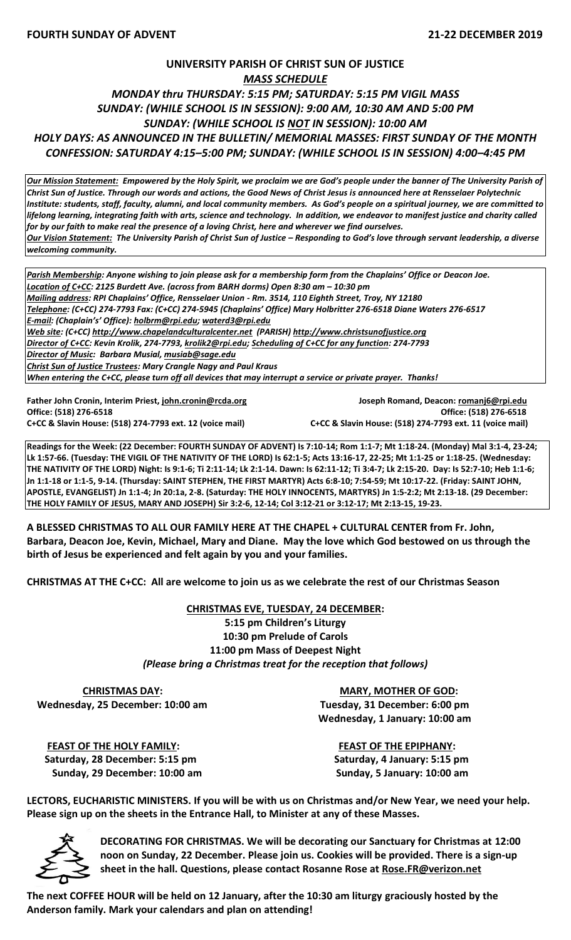## **UNIVERSITY PARISH OF CHRIST SUN OF JUSTICE** *MASS SCHEDULE MONDAY thru THURSDAY: 5:15 PM; SATURDAY: 5:15 PM VIGIL MASS SUNDAY: (WHILE SCHOOL IS IN SESSION): 9:00 AM, 10:30 AM AND 5:00 PM SUNDAY: (WHILE SCHOOL IS NOT IN SESSION): 10:00 AM HOLY DAYS: AS ANNOUNCED IN THE BULLETIN/ MEMORIAL MASSES: FIRST SUNDAY OF THE MONTH CONFESSION: SATURDAY 4:15–5:00 PM; SUNDAY: (WHILE SCHOOL IS IN SESSION) 4:00–4:45 PM*

*Our Mission Statement:**Empowered by the Holy Spirit, we proclaim we are God's people under the banner of The University Parish of Christ Sun of Justice. Through our words and actions, the Good News of Christ Jesus is announced here at Rensselaer Polytechnic Institute: students, staff, faculty, alumni, and local community members. As God's people on a spiritual journey, we are committed to lifelong learning, integrating faith with arts, science and technology. In addition, we endeavor to manifest justice and charity called for by our faith to make real the presence of a loving Christ, here and wherever we find ourselves. Our Vision Statement: The University Parish of Christ Sun of Justice – Responding to God's love through servant leadership, a diverse welcoming community.*

*Parish Membership: Anyone wishing to join please ask for a membership form from the Chaplains' Office or Deacon Joe. Location of C+CC: 2125 Burdett Ave. (across from BARH dorms) Open 8:30 am – 10:30 pm Mailing address: RPI Chaplains' Office, Rensselaer Union - Rm. 3514, 110 Eighth Street, Troy, NY 12180 Telephone: (C+CC) 274-7793 Fax: (C+CC) 274-5945 (Chaplains' Office) Mary Holbritter 276-6518 Diane Waters 276-6517 E-mail: (Chaplain's' Office): [holbrm@rpi.edu;](mailto:holbrm@rpi.edu) waterd3@rpi.edu Web site: (C+CC) [http://www.chapelandculturalcenter.net](http://www.chapelandculturalcenter.net/) (PARISH) http://www.christsunofjustice.org Director of C+CC: Kevin Krolik, 274-7793, krolik2@rpi.edu; Scheduling of C+CC for any function: 274-7793 Director of Music: Barbara Musial, [musiab@sage.edu](mailto:musiab@sage.edu) Christ Sun of Justice Trustees: Mary Crangle Nagy and Paul Kraus When entering the C+CC, please turn off all devices that may interrupt a service or private prayer. Thanks!* 

**Office: (518) 276-6518 Office: (518) 276-6518 C+CC & Slavin House: (518) 274-7793 ext. 12 (voice mail) C+CC & Slavin House: (518) 274-7793 ext. 11 (voice mail)**

**Father John Cronin, Interim Priest[, john.cronin@rcda.org](mailto:john.cronin@rcda.org) Joseph Romand, Deacon: [romanj6@rpi.edu](mailto:romanj6@rpi.edu)**

**Readings for the Week: (22 December: FOURTH SUNDAY OF ADVENT) Is 7:10-14; Rom 1:1-7; Mt 1:18-24. (Monday) Mal 3:1-4, 23-24; Lk 1:57-66. (Tuesday: THE VIGIL OF THE NATIVITY OF THE LORD) Is 62:1-5; Acts 13:16-17, 22-25; Mt 1:1-25 or 1:18-25. (Wednesday: THE NATIVITY OF THE LORD) Night: Is 9:1-6; Ti 2:11-14; Lk 2:1-14. Dawn: Is 62:11-12; Ti 3:4-7; Lk 2:15-20. Day: Is 52:7-10; Heb 1:1-6; Jn 1:1-18 or 1:1-5, 9-14. (Thursday: SAINT STEPHEN, THE FIRST MARTYR) Acts 6:8-10; 7:54-59; Mt 10:17-22. (Friday: SAINT JOHN, APOSTLE, EVANGELIST) Jn 1:1-4; Jn 20:1a, 2-8. (Saturday: THE HOLY INNOCENTS, MARTYRS) Jn 1:5-2:2; Mt 2:13-18. (29 December: THE HOLY FAMILY OF JESUS, MARY AND JOSEPH) Sir 3:2-6, 12-14; Col 3:12-21 or 3:12-17; Mt 2:13-15, 19-23.**

**A BLESSED CHRISTMAS TO ALL OUR FAMILY HERE AT THE CHAPEL + CULTURAL CENTER from Fr. John, Barbara, Deacon Joe, Kevin, Michael, Mary and Diane. May the love which God bestowed on us through the birth of Jesus be experienced and felt again by you and your families.** 

**CHRISTMAS AT THE C+CC: All are welcome to join us as we celebrate the rest of our Christmas Season** 

**CHRISTMAS EVE, TUESDAY, 24 DECEMBER: 5:15 pm Children's Liturgy 10:30 pm Prelude of Carols 11:00 pm Mass of Deepest Night** *(Please bring a Christmas treat for the reception that follows)*

**CHRISTMAS DAY:** MARY, MOTHER OF GOD:  **Wednesday, 25 December: 10:00 am Tuesday, 31 December: 6:00 pm**

 **Wednesday, 1 January: 10:00 am**

 **FEAST OF THE HOLY FAMILY: FEAST OF THE EPIPHANY: Saturday, 28 December: 5:15 pm Saturday, 4 January: 5:15 pm Sunday, 29 December: 10:00 am Sunday, 5 January: 10:00 am**

**LECTORS, EUCHARISTIC MINISTERS. If you will be with us on Christmas and/or New Year, we need your help. Please sign up on the sheets in the Entrance Hall, to Minister at any of these Masses.** 



**DECORATING FOR CHRISTMAS. We will be decorating our Sanctuary for Christmas at 12:00 noon on Sunday, 22 December. Please join us. Cookies will be provided. There is a sign-up sheet in the hall. Questions, please contact Rosanne Rose at [Rose.FR@verizon.net](mailto:Rose.FR@verizon.net)** 

**The next COFFEE HOUR will be held on 12 January, after the 10:30 am liturgy graciously hosted by the Anderson family. Mark your calendars and plan on attending!**